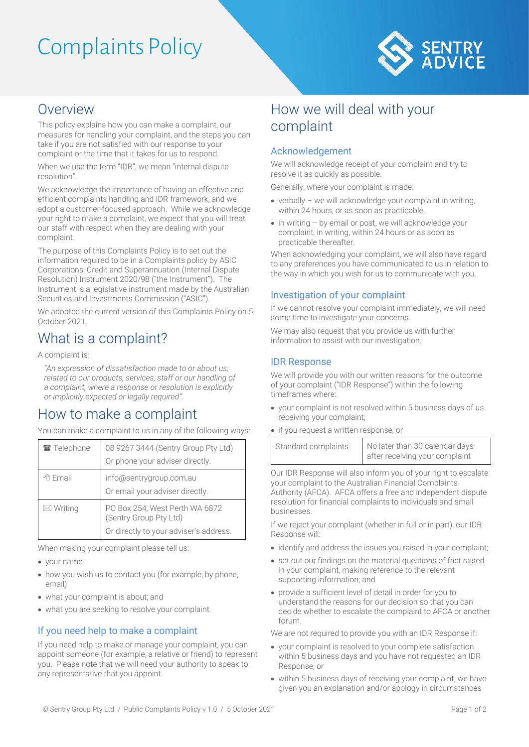# Complaints Policy



### Overview

This policy explains how you can make a complaint, our measures for handling your complaint, and the steps you can take if you are not satisfied with our response to your complaint or the time that it takes for us to respond.

When we use the term "IDR", we mean "internal dispute resolution".

We acknowledge the importance of having an effective and efficient complaints handling and IDR framework, and we adopt a customer-focused approach. While we acknowledge your right to make a complaint, we expect that you will treat our staff with respect when they are dealing with your complaint.

The purpose of this Complaints Policy is to set out the information required to be in a Complaints policy by ASIC Corporations, Credit and Superannuation (Internal Dispute Resolution) Instrument 2020/98 ("the Instrument"). The Instrument is a legislative instrument made by the Australian Securities and Investments Commission ("ASIC").

We adopted the current version of this Complaints Policy on 5 October 2021.

## What is a complaint?

A complaint is:

*"An expression of dissatisfaction made to or about us; related to our products, services, staff or our handling of a complaint, where a response or resolution is explicitly or implicitly expected or legally required".*

## How to make a complaint

You can make a complaint to us in any of the following ways:

| Telephone           | 08 9267 3444 (Sentry Group Pty Ltd)<br>Or phone your adviser directly.                             |
|---------------------|----------------------------------------------------------------------------------------------------|
| · Email             | info@sentrygroup.com.au<br>Or email your adviser directly.                                         |
| $\boxtimes$ Writing | PO Box 254, West Perth WA 6872<br>(Sentry Group Pty Ltd)<br>Or directly to your adviser's address. |

When making your complaint please tell us:

- your name
- how you wish us to contact you (for example, by phone, email)
- what your complaint is about; and
- what you are seeking to resolve your complaint.

#### If you need help to make a complaint

If you need help to make or manage your complaint, you can appoint someone (for example, a relative or friend) to represent you. Please note that we will need your authority to speak to any representative that you appoint.

### How we will deal with your complaint

#### Acknowledgement

We will acknowledge receipt of your complaint and try to resolve it as quickly as possible.

Generally, where your complaint is made:

- verbally we will acknowledge your complaint in writing, within 24 hours, or as soon as practicable.
- in writing by email or post, we will acknowledge your complaint, in writing, within 24 hours or as soon as practicable thereafter.

When acknowledging your complaint, we will also have regard to any preferences you have communicated to us in relation to the way in which you wish for us to communicate with you.

#### Investigation of your complaint

If we cannot resolve your complaint immediately, we will need some time to investigate your concerns.

We may also request that you provide us with further information to assist with our investigation.

#### IDR Response

We will provide you with our written reasons for the outcome of your complaint ("IDR Response") within the following timeframes where:

- your complaint is not resolved within 5 business days of us receiving your complaint;
- if you request a written response; or

| Standard complaints | No later than 30 calendar days |
|---------------------|--------------------------------|
|                     | after receiving your complaint |

Our IDR Response will also inform you of your right to escalate your complaint to the Australian Financial Complaints Authority (AFCA). AFCA offers a free and independent dispute resolution for financial complaints to individuals and small businesses.

If we reject your complaint (whether in full or in part), our IDR Response will:

- identify and address the issues you raised in your complaint;
- set out our findings on the material questions of fact raised in your complaint, making reference to the relevant supporting information; and
- provide a sufficient level of detail in order for you to understand the reasons for our decision so that you can decide whether to escalate the complaint to AFCA or another forum.

We are not required to provide you with an IDR Response if:

- your complaint is resolved to your complete satisfaction within 5 business days and you have not requested an IDR Response; or
- within 5 business days of receiving your complaint, we have given you an explanation and/or apology in circumstances